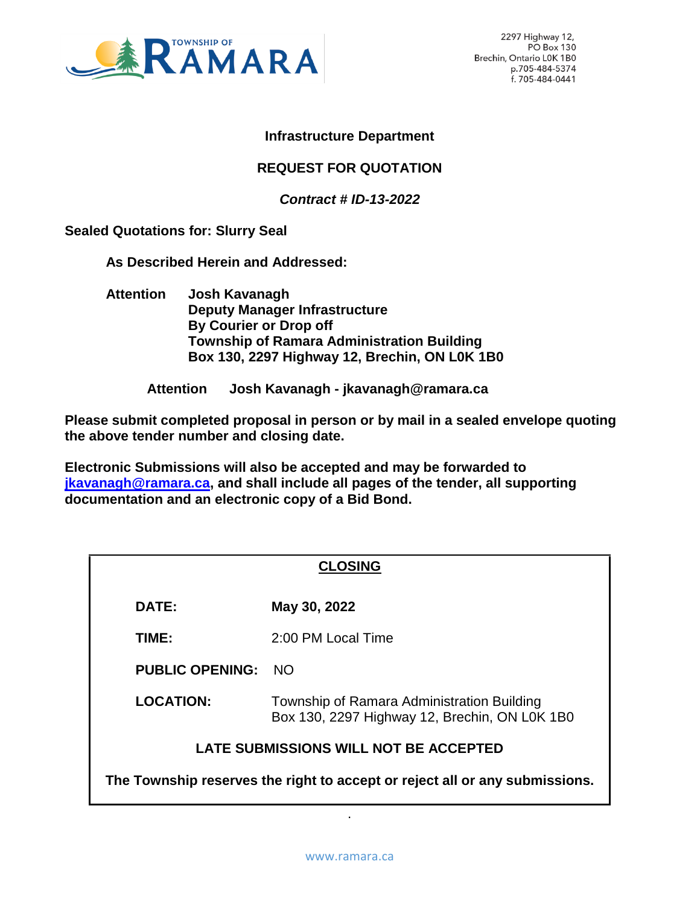

2297 Highway 12, PO Box 130 Brechin, Ontario LOK 1B0 p.705-484-5374 f. 705-484-0441

#### **Infrastructure Department**

### **REQUEST FOR QUOTATION**

*Contract # ID-13-2022*

**Sealed Quotations for: Slurry Seal** 

**As Described Herein and Addressed:** 

**Attention Josh Kavanagh Deputy Manager Infrastructure By Courier or Drop off Township of Ramara Administration Building Box 130, 2297 Highway 12, Brechin, ON L0K 1B0**

**Attention Josh Kavanagh - jkavanagh@ramara.ca**

**Please submit completed proposal in person or by mail in a sealed envelope quoting the above tender number and closing date.**

**Electronic Submissions will also be accepted and may be forwarded to [jkavanagh@ramara.ca,](mailto:jkavanagh@ramara.ca) and shall include all pages of the tender, all supporting documentation and an electronic copy of a Bid Bond.** 

| <b>CLOSING</b>                                                              |                                                                                             |  |
|-----------------------------------------------------------------------------|---------------------------------------------------------------------------------------------|--|
| <b>DATE:</b>                                                                | May 30, 2022                                                                                |  |
| TIME:                                                                       | 2:00 PM Local Time                                                                          |  |
| <b>PUBLIC OPENING:</b>                                                      | - NO                                                                                        |  |
| <b>LOCATION:</b>                                                            | Township of Ramara Administration Building<br>Box 130, 2297 Highway 12, Brechin, ON LOK 1B0 |  |
| LATE SUBMISSIONS WILL NOT BE ACCEPTED                                       |                                                                                             |  |
| The Township reserves the right to accept or reject all or any submissions. |                                                                                             |  |

.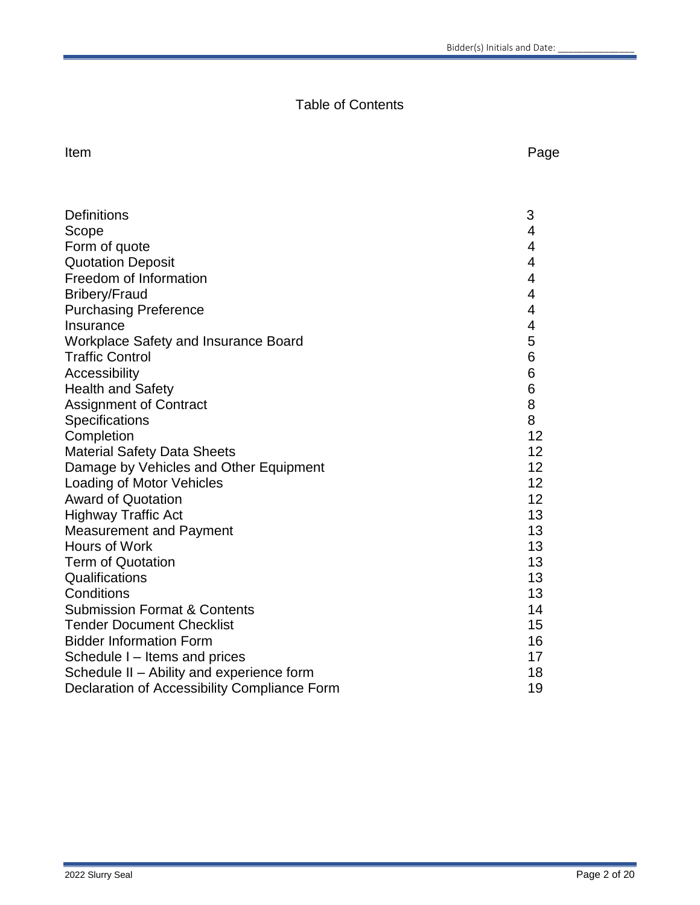# Table of Contents

#### Item **International Contract Contract Contract Contract Contract Contract Contract Contract Contract Contract Contract Contract Contract Contract Contract Contract Contract Contract Contract Contract Contract Contract Cont**

| <b>Definitions</b>                           | 3              |
|----------------------------------------------|----------------|
| Scope                                        | 4              |
| Form of quote                                | 4              |
| <b>Quotation Deposit</b>                     | $\overline{4}$ |
| Freedom of Information                       | 4              |
| <b>Bribery/Fraud</b>                         | 4              |
| <b>Purchasing Preference</b>                 | 4              |
| Insurance                                    | 4              |
| Workplace Safety and Insurance Board         | 5              |
| <b>Traffic Control</b>                       | 6              |
| Accessibility                                | 6              |
| <b>Health and Safety</b>                     | 6              |
| <b>Assignment of Contract</b>                | 8              |
| Specifications                               | 8              |
| Completion                                   | 12             |
| <b>Material Safety Data Sheets</b>           | 12             |
| Damage by Vehicles and Other Equipment       | 12             |
| <b>Loading of Motor Vehicles</b>             | 12             |
| <b>Award of Quotation</b>                    | 12             |
| <b>Highway Traffic Act</b>                   | 13             |
| <b>Measurement and Payment</b>               | 13             |
| Hours of Work                                | 13             |
| <b>Term of Quotation</b>                     | 13             |
| Qualifications                               | 13             |
| Conditions                                   | 13             |
| <b>Submission Format &amp; Contents</b>      | 14             |
| <b>Tender Document Checklist</b>             | 15             |
| <b>Bidder Information Form</b>               | 16             |
| Schedule I - Items and prices                | 17             |
| Schedule II - Ability and experience form    | 18             |
| Declaration of Accessibility Compliance Form | 19             |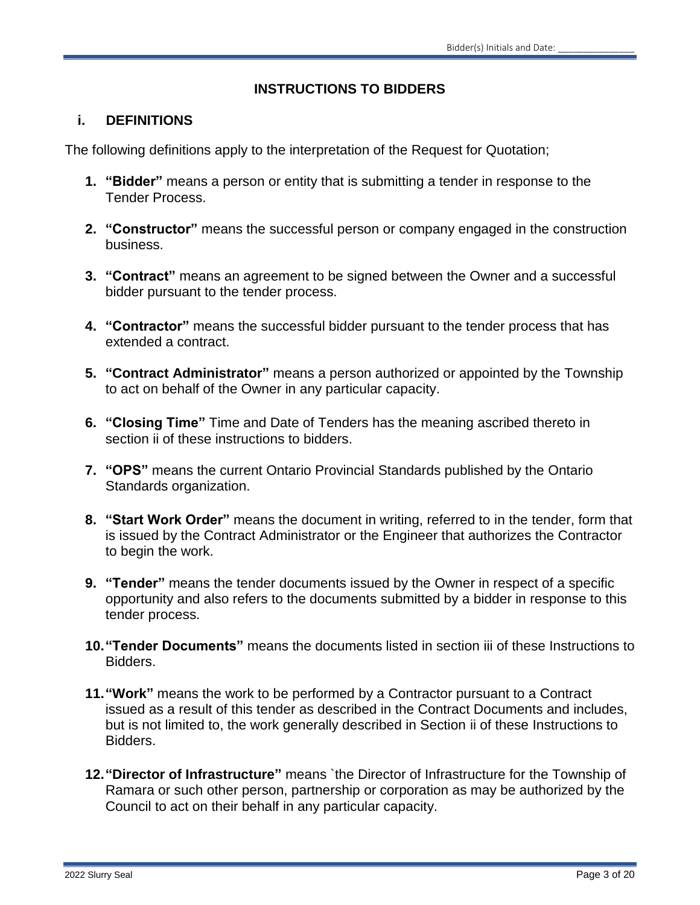### **INSTRUCTIONS TO BIDDERS**

#### **i. DEFINITIONS**

The following definitions apply to the interpretation of the Request for Quotation;

- **1. "Bidder"** means a person or entity that is submitting a tender in response to the Tender Process.
- **2. "Constructor"** means the successful person or company engaged in the construction business.
- **3. "Contract"** means an agreement to be signed between the Owner and a successful bidder pursuant to the tender process.
- **4. "Contractor"** means the successful bidder pursuant to the tender process that has extended a contract.
- **5. "Contract Administrator"** means a person authorized or appointed by the Township to act on behalf of the Owner in any particular capacity.
- **6. "Closing Time"** Time and Date of Tenders has the meaning ascribed thereto in section ii of these instructions to bidders.
- **7. "OPS"** means the current Ontario Provincial Standards published by the Ontario Standards organization.
- **8. "Start Work Order"** means the document in writing, referred to in the tender, form that is issued by the Contract Administrator or the Engineer that authorizes the Contractor to begin the work.
- **9. "Tender"** means the tender documents issued by the Owner in respect of a specific opportunity and also refers to the documents submitted by a bidder in response to this tender process.
- **10."Tender Documents"** means the documents listed in section iii of these Instructions to Bidders.
- **11."Work"** means the work to be performed by a Contractor pursuant to a Contract issued as a result of this tender as described in the Contract Documents and includes, but is not limited to, the work generally described in Section ii of these Instructions to Bidders.
- **12."Director of Infrastructure"** means `the Director of Infrastructure for the Township of Ramara or such other person, partnership or corporation as may be authorized by the Council to act on their behalf in any particular capacity.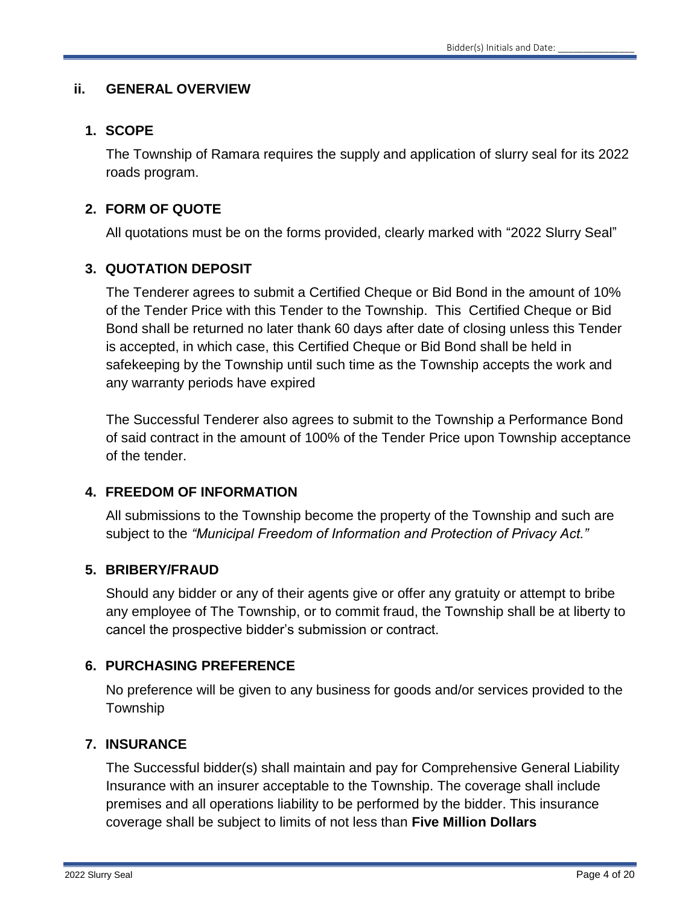#### **ii. GENERAL OVERVIEW**

#### **1. SCOPE**

The Township of Ramara requires the supply and application of slurry seal for its 2022 roads program.

### **2. FORM OF QUOTE**

All quotations must be on the forms provided, clearly marked with "2022 Slurry Seal"

# **3. QUOTATION DEPOSIT**

The Tenderer agrees to submit a Certified Cheque or Bid Bond in the amount of 10% of the Tender Price with this Tender to the Township. This Certified Cheque or Bid Bond shall be returned no later thank 60 days after date of closing unless this Tender is accepted, in which case, this Certified Cheque or Bid Bond shall be held in safekeeping by the Township until such time as the Township accepts the work and any warranty periods have expired

The Successful Tenderer also agrees to submit to the Township a Performance Bond of said contract in the amount of 100% of the Tender Price upon Township acceptance of the tender.

#### **4. FREEDOM OF INFORMATION**

All submissions to the Township become the property of the Township and such are subject to the *"Municipal Freedom of Information and Protection of Privacy Act."*

# **5. BRIBERY/FRAUD**

Should any bidder or any of their agents give or offer any gratuity or attempt to bribe any employee of The Township, or to commit fraud, the Township shall be at liberty to cancel the prospective bidder's submission or contract.

#### **6. PURCHASING PREFERENCE**

No preference will be given to any business for goods and/or services provided to the Township

#### **7. INSURANCE**

The Successful bidder(s) shall maintain and pay for Comprehensive General Liability Insurance with an insurer acceptable to the Township. The coverage shall include premises and all operations liability to be performed by the bidder. This insurance coverage shall be subject to limits of not less than **Five Million Dollars**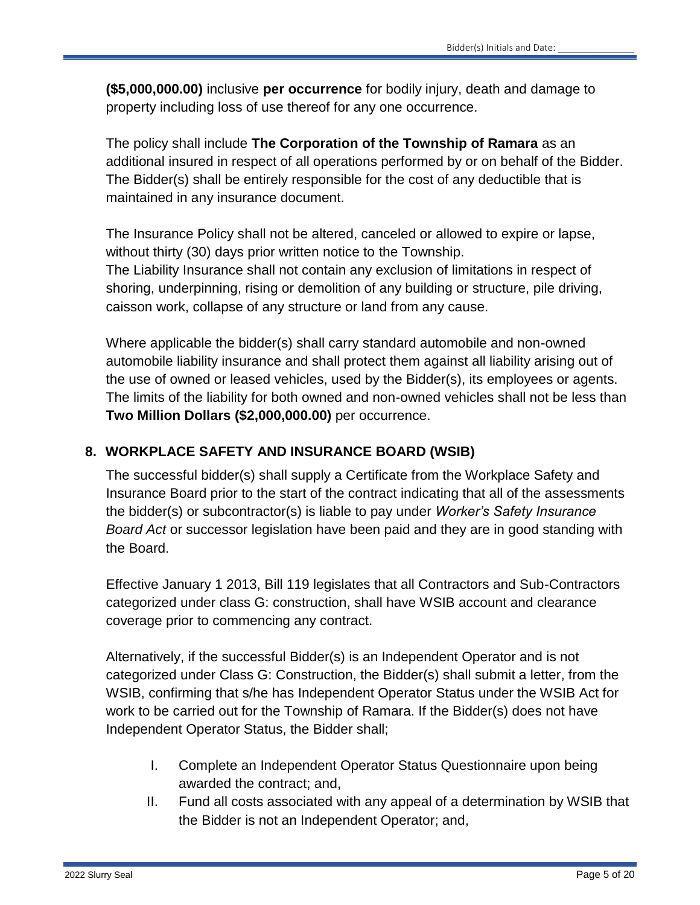**(\$5,000,000.00)** inclusive **per occurrence** for bodily injury, death and damage to property including loss of use thereof for any one occurrence.

The policy shall include **The Corporation of the Township of Ramara** as an additional insured in respect of all operations performed by or on behalf of the Bidder. The Bidder(s) shall be entirely responsible for the cost of any deductible that is maintained in any insurance document.

The Insurance Policy shall not be altered, canceled or allowed to expire or lapse, without thirty (30) days prior written notice to the Township. The Liability Insurance shall not contain any exclusion of limitations in respect of shoring, underpinning, rising or demolition of any building or structure, pile driving, caisson work, collapse of any structure or land from any cause.

Where applicable the bidder(s) shall carry standard automobile and non-owned automobile liability insurance and shall protect them against all liability arising out of the use of owned or leased vehicles, used by the Bidder(s), its employees or agents. The limits of the liability for both owned and non-owned vehicles shall not be less than **Two Million Dollars (\$2,000,000.00)** per occurrence.

# **8. WORKPLACE SAFETY AND INSURANCE BOARD (WSIB)**

The successful bidder(s) shall supply a Certificate from the Workplace Safety and Insurance Board prior to the start of the contract indicating that all of the assessments the bidder(s) or subcontractor(s) is liable to pay under *Worker's Safety Insurance Board Act* or successor legislation have been paid and they are in good standing with the Board.

Effective January 1 2013, Bill 119 legislates that all Contractors and Sub-Contractors categorized under class G: construction, shall have WSIB account and clearance coverage prior to commencing any contract.

Alternatively, if the successful Bidder(s) is an Independent Operator and is not categorized under Class G: Construction, the Bidder(s) shall submit a letter, from the WSIB, confirming that s/he has Independent Operator Status under the WSIB Act for work to be carried out for the Township of Ramara. If the Bidder(s) does not have Independent Operator Status, the Bidder shall;

- I. Complete an Independent Operator Status Questionnaire upon being awarded the contract; and,
- II. Fund all costs associated with any appeal of a determination by WSIB that the Bidder is not an Independent Operator; and,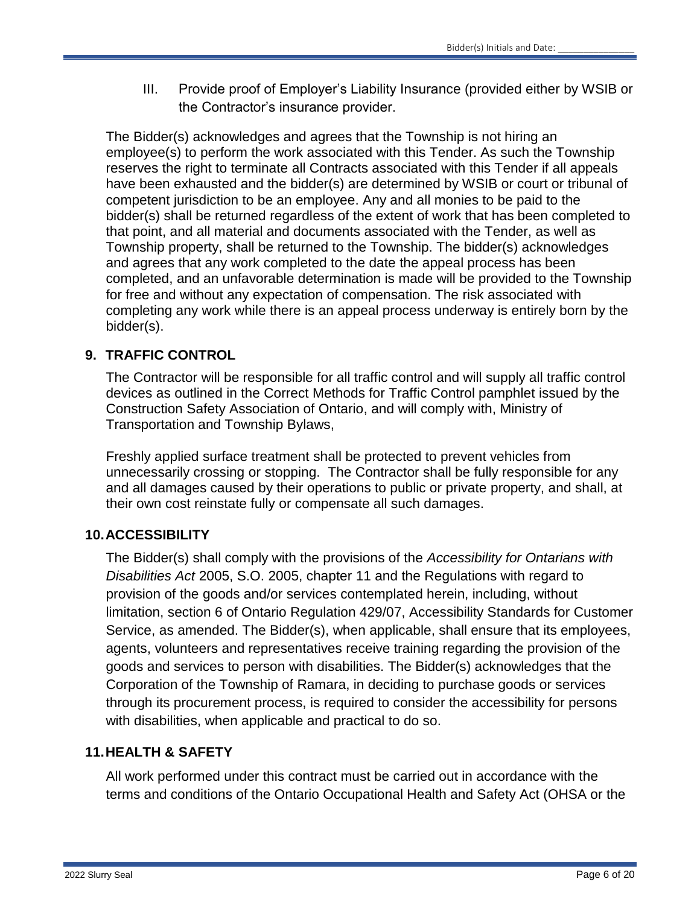III. Provide proof of Employer's Liability Insurance (provided either by WSIB or the Contractor's insurance provider.

The Bidder(s) acknowledges and agrees that the Township is not hiring an employee(s) to perform the work associated with this Tender. As such the Township reserves the right to terminate all Contracts associated with this Tender if all appeals have been exhausted and the bidder(s) are determined by WSIB or court or tribunal of competent jurisdiction to be an employee. Any and all monies to be paid to the bidder(s) shall be returned regardless of the extent of work that has been completed to that point, and all material and documents associated with the Tender, as well as Township property, shall be returned to the Township. The bidder(s) acknowledges and agrees that any work completed to the date the appeal process has been completed, and an unfavorable determination is made will be provided to the Township for free and without any expectation of compensation. The risk associated with completing any work while there is an appeal process underway is entirely born by the bidder(s).

# **9. TRAFFIC CONTROL**

The Contractor will be responsible for all traffic control and will supply all traffic control devices as outlined in the Correct Methods for Traffic Control pamphlet issued by the Construction Safety Association of Ontario, and will comply with, Ministry of Transportation and Township Bylaws,

Freshly applied surface treatment shall be protected to prevent vehicles from unnecessarily crossing or stopping. The Contractor shall be fully responsible for any and all damages caused by their operations to public or private property, and shall, at their own cost reinstate fully or compensate all such damages.

# **10.ACCESSIBILITY**

The Bidder(s) shall comply with the provisions of the *Accessibility for Ontarians with Disabilities Act* 2005, S.O. 2005, chapter 11 and the Regulations with regard to provision of the goods and/or services contemplated herein, including, without limitation, section 6 of Ontario Regulation 429/07, Accessibility Standards for Customer Service, as amended. The Bidder(s), when applicable, shall ensure that its employees, agents, volunteers and representatives receive training regarding the provision of the goods and services to person with disabilities. The Bidder(s) acknowledges that the Corporation of the Township of Ramara, in deciding to purchase goods or services through its procurement process, is required to consider the accessibility for persons with disabilities, when applicable and practical to do so.

# **11.HEALTH & SAFETY**

All work performed under this contract must be carried out in accordance with the terms and conditions of the Ontario Occupational Health and Safety Act (OHSA or the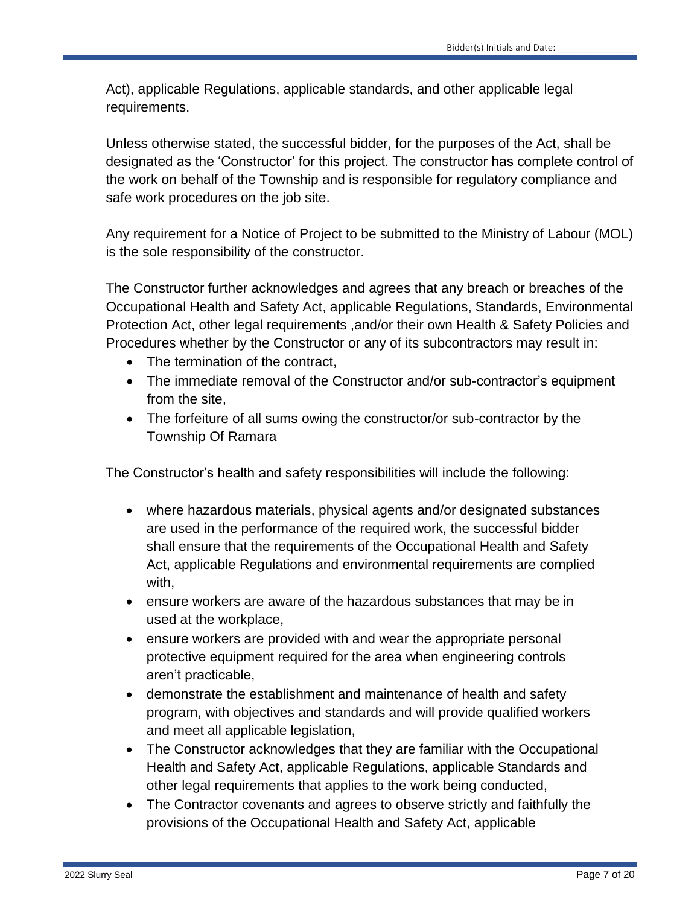Act), applicable Regulations, applicable standards, and other applicable legal requirements.

Unless otherwise stated, the successful bidder, for the purposes of the Act, shall be designated as the 'Constructor' for this project. The constructor has complete control of the work on behalf of the Township and is responsible for regulatory compliance and safe work procedures on the job site.

Any requirement for a Notice of Project to be submitted to the Ministry of Labour (MOL) is the sole responsibility of the constructor.

The Constructor further acknowledges and agrees that any breach or breaches of the Occupational Health and Safety Act, applicable Regulations, Standards, Environmental Protection Act, other legal requirements ,and/or their own Health & Safety Policies and Procedures whether by the Constructor or any of its subcontractors may result in:

- The termination of the contract.
- The immediate removal of the Constructor and/or sub-contractor's equipment from the site,
- The forfeiture of all sums owing the constructor/or sub-contractor by the Township Of Ramara

The Constructor's health and safety responsibilities will include the following:

- where hazardous materials, physical agents and/or designated substances are used in the performance of the required work, the successful bidder shall ensure that the requirements of the Occupational Health and Safety Act, applicable Regulations and environmental requirements are complied with,
- ensure workers are aware of the hazardous substances that may be in used at the workplace,
- ensure workers are provided with and wear the appropriate personal protective equipment required for the area when engineering controls aren't practicable,
- demonstrate the establishment and maintenance of health and safety program, with objectives and standards and will provide qualified workers and meet all applicable legislation,
- The Constructor acknowledges that they are familiar with the Occupational Health and Safety Act, applicable Regulations, applicable Standards and other legal requirements that applies to the work being conducted,
- The Contractor covenants and agrees to observe strictly and faithfully the provisions of the Occupational Health and Safety Act, applicable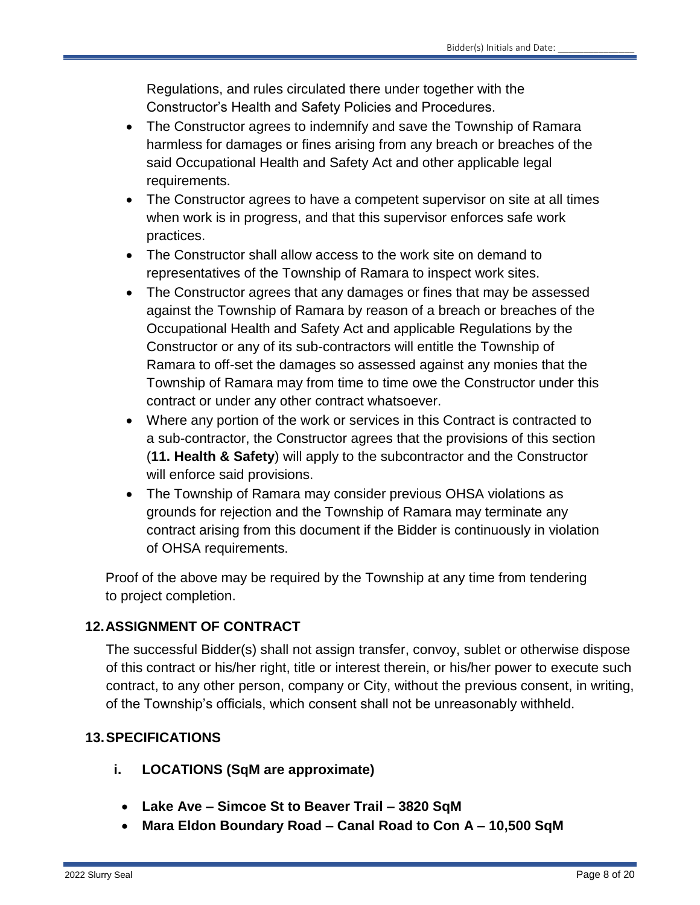Regulations, and rules circulated there under together with the Constructor's Health and Safety Policies and Procedures.

- The Constructor agrees to indemnify and save the Township of Ramara harmless for damages or fines arising from any breach or breaches of the said Occupational Health and Safety Act and other applicable legal requirements.
- The Constructor agrees to have a competent supervisor on site at all times when work is in progress, and that this supervisor enforces safe work practices.
- The Constructor shall allow access to the work site on demand to representatives of the Township of Ramara to inspect work sites.
- The Constructor agrees that any damages or fines that may be assessed against the Township of Ramara by reason of a breach or breaches of the Occupational Health and Safety Act and applicable Regulations by the Constructor or any of its sub-contractors will entitle the Township of Ramara to off-set the damages so assessed against any monies that the Township of Ramara may from time to time owe the Constructor under this contract or under any other contract whatsoever.
- Where any portion of the work or services in this Contract is contracted to a sub-contractor, the Constructor agrees that the provisions of this section (**11. Health & Safety**) will apply to the subcontractor and the Constructor will enforce said provisions.
- The Township of Ramara may consider previous OHSA violations as grounds for rejection and the Township of Ramara may terminate any contract arising from this document if the Bidder is continuously in violation of OHSA requirements.

Proof of the above may be required by the Township at any time from tendering to project completion.

# **12.ASSIGNMENT OF CONTRACT**

The successful Bidder(s) shall not assign transfer, convoy, sublet or otherwise dispose of this contract or his/her right, title or interest therein, or his/her power to execute such contract, to any other person, company or City, without the previous consent, in writing, of the Township's officials, which consent shall not be unreasonably withheld.

# **13.SPECIFICATIONS**

- **i. LOCATIONS (SqM are approximate)**
	- **Lake Ave – Simcoe St to Beaver Trail – 3820 SqM**
	- **Mara Eldon Boundary Road – Canal Road to Con A – 10,500 SqM**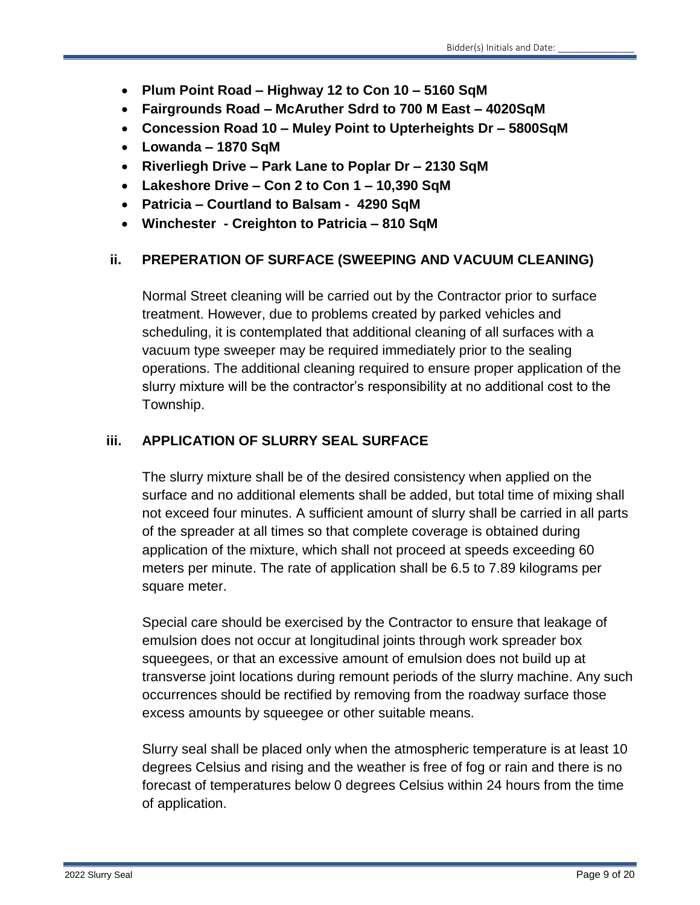- **Plum Point Road – Highway 12 to Con 10 – 5160 SqM**
- **Fairgrounds Road – McAruther Sdrd to 700 M East – 4020SqM**
- **Concession Road 10 – Muley Point to Upterheights Dr – 5800SqM**
- **Lowanda – 1870 SqM**
- **Riverliegh Drive – Park Lane to Poplar Dr – 2130 SqM**
- **Lakeshore Drive – Con 2 to Con 1 – 10,390 SqM**
- **Patricia – Courtland to Balsam 4290 SqM**
- **Winchester - Creighton to Patricia – 810 SqM**

# **ii. PREPERATION OF SURFACE (SWEEPING AND VACUUM CLEANING)**

Normal Street cleaning will be carried out by the Contractor prior to surface treatment. However, due to problems created by parked vehicles and scheduling, it is contemplated that additional cleaning of all surfaces with a vacuum type sweeper may be required immediately prior to the sealing operations. The additional cleaning required to ensure proper application of the slurry mixture will be the contractor's responsibility at no additional cost to the Township.

# **iii. APPLICATION OF SLURRY SEAL SURFACE**

The slurry mixture shall be of the desired consistency when applied on the surface and no additional elements shall be added, but total time of mixing shall not exceed four minutes. A sufficient amount of slurry shall be carried in all parts of the spreader at all times so that complete coverage is obtained during application of the mixture, which shall not proceed at speeds exceeding 60 meters per minute. The rate of application shall be 6.5 to 7.89 kilograms per square meter.

Special care should be exercised by the Contractor to ensure that leakage of emulsion does not occur at longitudinal joints through work spreader box squeegees, or that an excessive amount of emulsion does not build up at transverse joint locations during remount periods of the slurry machine. Any such occurrences should be rectified by removing from the roadway surface those excess amounts by squeegee or other suitable means.

Slurry seal shall be placed only when the atmospheric temperature is at least 10 degrees Celsius and rising and the weather is free of fog or rain and there is no forecast of temperatures below 0 degrees Celsius within 24 hours from the time of application.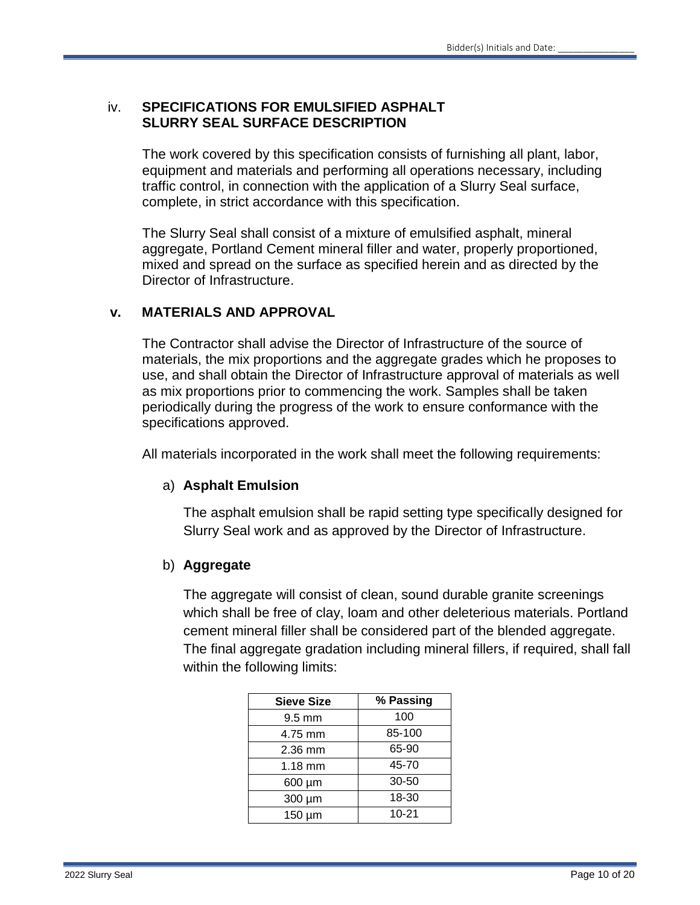#### iv. **SPECIFICATIONS FOR EMULSIFIED ASPHALT SLURRY SEAL SURFACE DESCRIPTION**

The work covered by this specification consists of furnishing all plant, labor, equipment and materials and performing all operations necessary, including traffic control, in connection with the application of a Slurry Seal surface, complete, in strict accordance with this specification.

The Slurry Seal shall consist of a mixture of emulsified asphalt, mineral aggregate, Portland Cement mineral filler and water, properly proportioned, mixed and spread on the surface as specified herein and as directed by the Director of Infrastructure.

#### **v. MATERIALS AND APPROVAL**

The Contractor shall advise the Director of Infrastructure of the source of materials, the mix proportions and the aggregate grades which he proposes to use, and shall obtain the Director of Infrastructure approval of materials as well as mix proportions prior to commencing the work. Samples shall be taken periodically during the progress of the work to ensure conformance with the specifications approved.

All materials incorporated in the work shall meet the following requirements:

#### a) **Asphalt Emulsion**

The asphalt emulsion shall be rapid setting type specifically designed for Slurry Seal work and as approved by the Director of Infrastructure.

#### b) **Aggregate**

The aggregate will consist of clean, sound durable granite screenings which shall be free of clay, loam and other deleterious materials. Portland cement mineral filler shall be considered part of the blended aggregate. The final aggregate gradation including mineral fillers, if required, shall fall within the following limits:

| <b>Sieve Size</b> | % Passing |
|-------------------|-----------|
| $9.5 \text{ mm}$  | 100       |
| 4.75 mm           | 85-100    |
| 2.36 mm           | 65-90     |
| $1.18$ mm         | 45-70     |
| 600 µm            | 30-50     |
| 300 µm            | 18-30     |
| $150 \mu m$       | $10 - 21$ |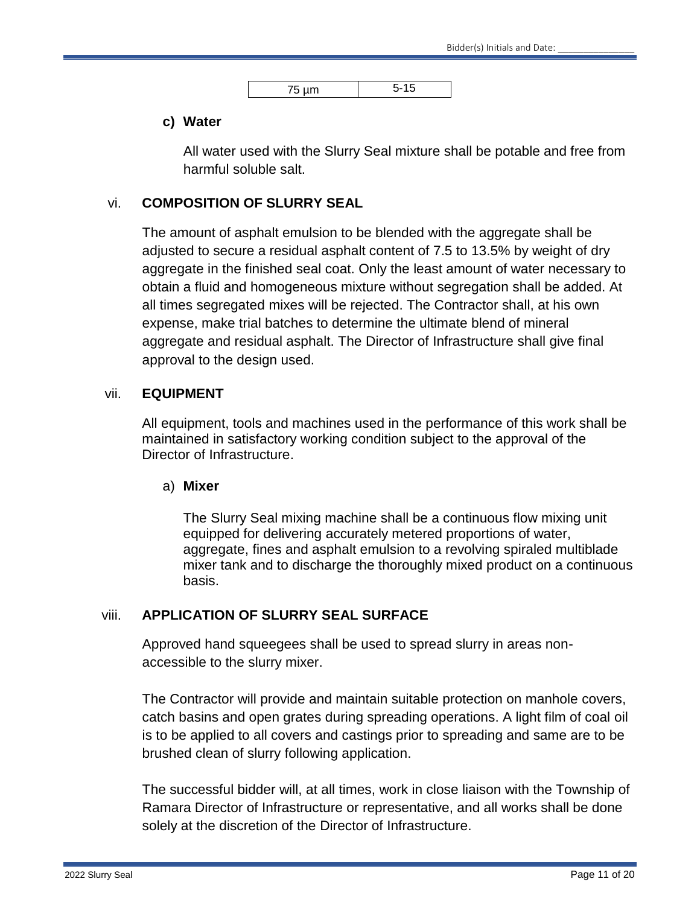| --<br>$\sqrt{2}$<br>$\sim$ |  |
|----------------------------|--|

#### **c) Water**

All water used with the Slurry Seal mixture shall be potable and free from harmful soluble salt.

#### vi. **COMPOSITION OF SLURRY SEAL**

The amount of asphalt emulsion to be blended with the aggregate shall be adjusted to secure a residual asphalt content of 7.5 to 13.5% by weight of dry aggregate in the finished seal coat. Only the least amount of water necessary to obtain a fluid and homogeneous mixture without segregation shall be added. At all times segregated mixes will be rejected. The Contractor shall, at his own expense, make trial batches to determine the ultimate blend of mineral aggregate and residual asphalt. The Director of Infrastructure shall give final approval to the design used.

#### vii. **EQUIPMENT**

All equipment, tools and machines used in the performance of this work shall be maintained in satisfactory working condition subject to the approval of the Director of Infrastructure.

#### a) **Mixer**

The Slurry Seal mixing machine shall be a continuous flow mixing unit equipped for delivering accurately metered proportions of water, aggregate, fines and asphalt emulsion to a revolving spiraled multiblade mixer tank and to discharge the thoroughly mixed product on a continuous basis.

#### viii. **APPLICATION OF SLURRY SEAL SURFACE**

Approved hand squeegees shall be used to spread slurry in areas nonaccessible to the slurry mixer.

The Contractor will provide and maintain suitable protection on manhole covers, catch basins and open grates during spreading operations. A light film of coal oil is to be applied to all covers and castings prior to spreading and same are to be brushed clean of slurry following application.

The successful bidder will, at all times, work in close liaison with the Township of Ramara Director of Infrastructure or representative, and all works shall be done solely at the discretion of the Director of Infrastructure.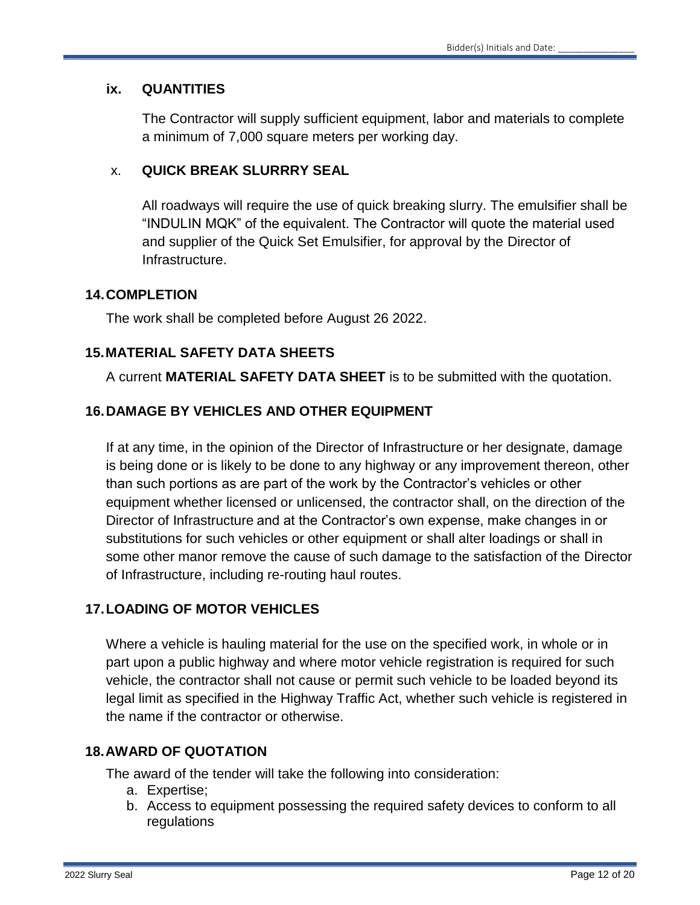#### **ix. QUANTITIES**

The Contractor will supply sufficient equipment, labor and materials to complete a minimum of 7,000 square meters per working day.

### x. **QUICK BREAK SLURRRY SEAL**

All roadways will require the use of quick breaking slurry. The emulsifier shall be "INDULIN MQK" of the equivalent. The Contractor will quote the material used and supplier of the Quick Set Emulsifier, for approval by the Director of Infrastructure.

#### **14.COMPLETION**

The work shall be completed before August 26 2022.

# **15.MATERIAL SAFETY DATA SHEETS**

A current **MATERIAL SAFETY DATA SHEET** is to be submitted with the quotation.

# **16.DAMAGE BY VEHICLES AND OTHER EQUIPMENT**

If at any time, in the opinion of the Director of Infrastructure or her designate, damage is being done or is likely to be done to any highway or any improvement thereon, other than such portions as are part of the work by the Contractor's vehicles or other equipment whether licensed or unlicensed, the contractor shall, on the direction of the Director of Infrastructure and at the Contractor's own expense, make changes in or substitutions for such vehicles or other equipment or shall alter loadings or shall in some other manor remove the cause of such damage to the satisfaction of the Director of Infrastructure, including re-routing haul routes.

# **17.LOADING OF MOTOR VEHICLES**

Where a vehicle is hauling material for the use on the specified work, in whole or in part upon a public highway and where motor vehicle registration is required for such vehicle, the contractor shall not cause or permit such vehicle to be loaded beyond its legal limit as specified in the Highway Traffic Act, whether such vehicle is registered in the name if the contractor or otherwise.

# **18.AWARD OF QUOTATION**

The award of the tender will take the following into consideration:

- a. Expertise;
- b. Access to equipment possessing the required safety devices to conform to all regulations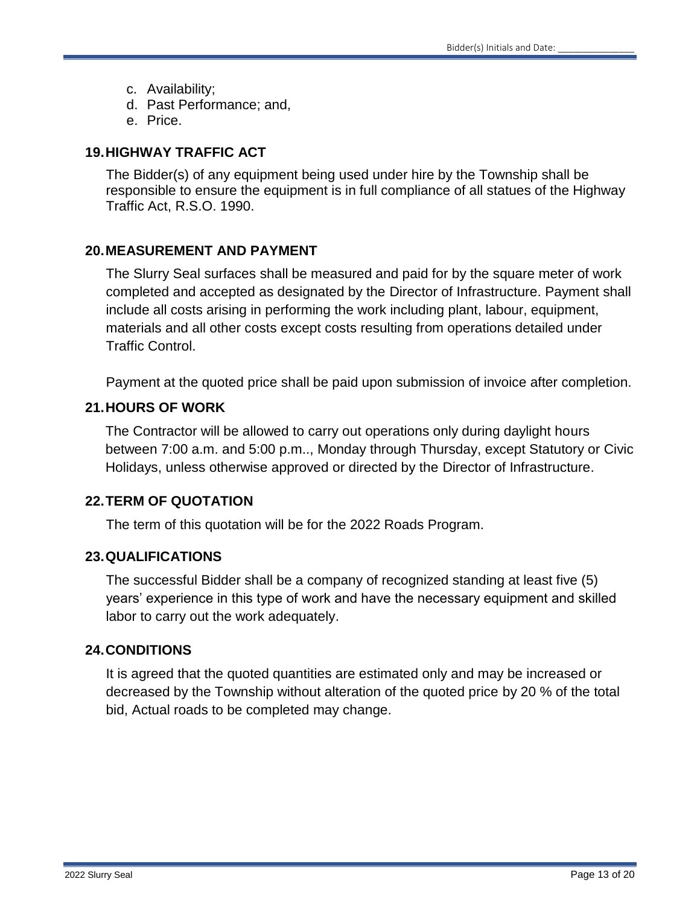- c. Availability;
- d. Past Performance; and,
- e. Price.

### **19.HIGHWAY TRAFFIC ACT**

The Bidder(s) of any equipment being used under hire by the Township shall be responsible to ensure the equipment is in full compliance of all statues of the Highway Traffic Act, R.S.O. 1990.

### **20.MEASUREMENT AND PAYMENT**

The Slurry Seal surfaces shall be measured and paid for by the square meter of work completed and accepted as designated by the Director of Infrastructure. Payment shall include all costs arising in performing the work including plant, labour, equipment, materials and all other costs except costs resulting from operations detailed under Traffic Control.

Payment at the quoted price shall be paid upon submission of invoice after completion.

### **21.HOURS OF WORK**

The Contractor will be allowed to carry out operations only during daylight hours between 7:00 a.m. and 5:00 p.m.., Monday through Thursday, except Statutory or Civic Holidays, unless otherwise approved or directed by the Director of Infrastructure.

#### **22.TERM OF QUOTATION**

The term of this quotation will be for the 2022 Roads Program.

#### **23.QUALIFICATIONS**

The successful Bidder shall be a company of recognized standing at least five (5) years' experience in this type of work and have the necessary equipment and skilled labor to carry out the work adequately.

#### **24.CONDITIONS**

It is agreed that the quoted quantities are estimated only and may be increased or decreased by the Township without alteration of the quoted price by 20 % of the total bid, Actual roads to be completed may change.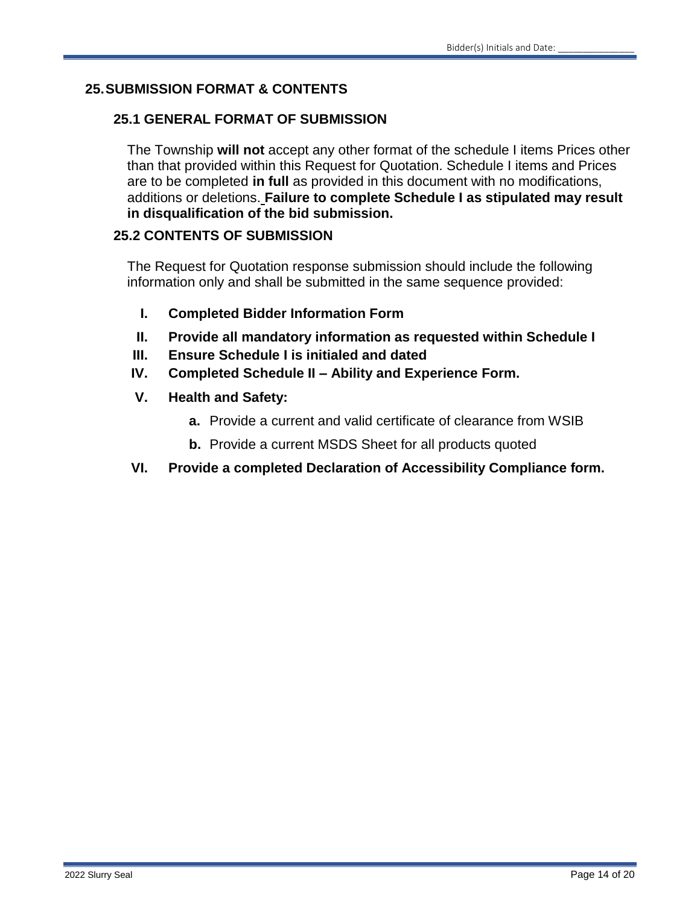### **25.SUBMISSION FORMAT & CONTENTS**

### **25.1 GENERAL FORMAT OF SUBMISSION**

The Township **will not** accept any other format of the schedule I items Prices other than that provided within this Request for Quotation. Schedule I items and Prices are to be completed **in full** as provided in this document with no modifications, additions or deletions. **Failure to complete Schedule I as stipulated may result in disqualification of the bid submission.**

#### **25.2 CONTENTS OF SUBMISSION**

The Request for Quotation response submission should include the following information only and shall be submitted in the same sequence provided:

- **I. Completed Bidder Information Form**
- **II. Provide all mandatory information as requested within Schedule I**
- **III. Ensure Schedule I is initialed and dated**
- **IV. Completed Schedule II – Ability and Experience Form.**
- **V. Health and Safety:**
	- **a.** Provide a current and valid certificate of clearance from WSIB
	- **b.** Provide a current MSDS Sheet for all products quoted
- **VI. Provide a completed Declaration of Accessibility Compliance form.**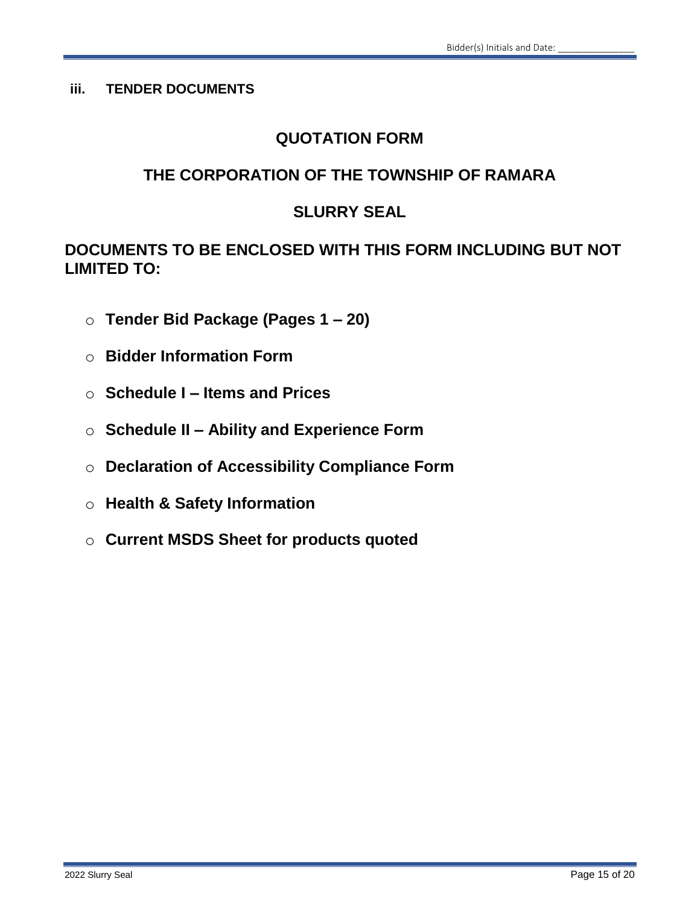#### **iii. TENDER DOCUMENTS**

# **QUOTATION FORM**

# **THE CORPORATION OF THE TOWNSHIP OF RAMARA**

# **SLURRY SEAL**

**DOCUMENTS TO BE ENCLOSED WITH THIS FORM INCLUDING BUT NOT LIMITED TO:**

- o **Tender Bid Package (Pages 1 – 20)**
- o **Bidder Information Form**
- o **Schedule I – Items and Prices**
- o **Schedule II – Ability and Experience Form**
- o **Declaration of Accessibility Compliance Form**
- o **Health & Safety Information**
- o **Current MSDS Sheet for products quoted**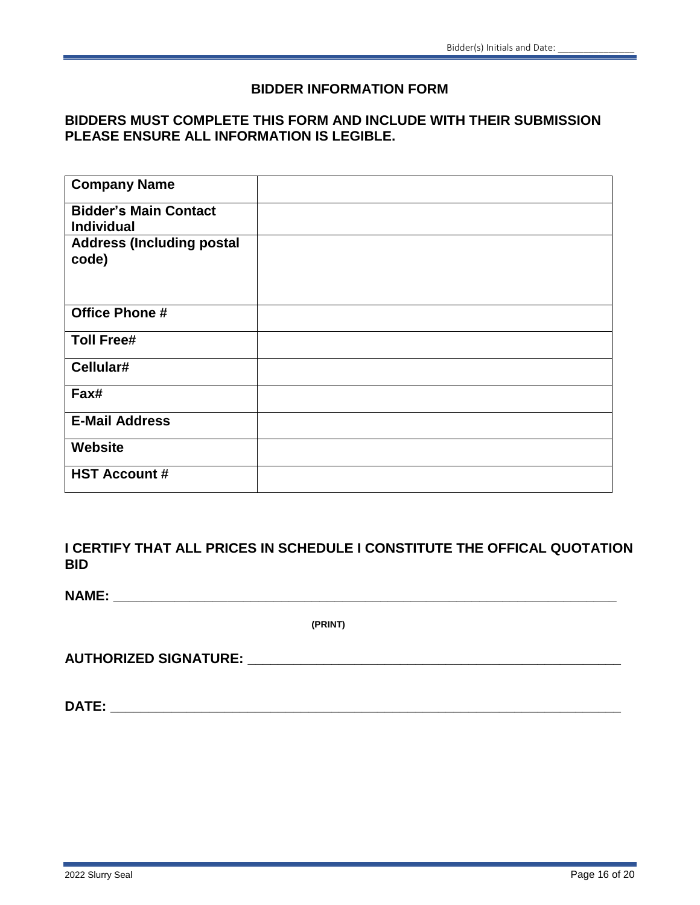#### **BIDDER INFORMATION FORM**

#### **BIDDERS MUST COMPLETE THIS FORM AND INCLUDE WITH THEIR SUBMISSION PLEASE ENSURE ALL INFORMATION IS LEGIBLE.**

| <b>Company Name</b>                               |  |
|---------------------------------------------------|--|
| <b>Bidder's Main Contact</b><br><b>Individual</b> |  |
| <b>Address (Including postal</b><br>code)         |  |
| <b>Office Phone #</b>                             |  |
| <b>Toll Free#</b>                                 |  |
| Cellular#                                         |  |
| Fax#                                              |  |
| <b>E-Mail Address</b>                             |  |
| <b>Website</b>                                    |  |
| <b>HST Account #</b>                              |  |

**I CERTIFY THAT ALL PRICES IN SCHEDULE I CONSTITUTE THE OFFICAL QUOTATION BID**

**NAME: \_\_\_\_\_\_\_\_\_\_\_\_\_\_\_\_\_\_\_\_\_\_\_\_\_\_\_\_\_\_\_\_\_\_\_\_\_\_\_\_\_\_\_\_\_\_\_\_\_\_\_\_\_\_\_\_\_\_\_\_\_\_\_\_\_\_**

**(PRINT)**

**AUTHORIZED SIGNATURE: \_\_\_\_\_\_\_\_\_\_\_\_\_\_\_\_\_\_\_\_\_\_\_\_\_\_\_\_\_\_\_\_\_\_\_\_\_\_\_\_\_\_\_\_\_\_\_\_\_**

**DATE: \_\_\_\_\_\_\_\_\_\_\_\_\_\_\_\_\_\_\_\_\_\_\_\_\_\_\_\_\_\_\_\_\_\_\_\_\_\_\_\_\_\_\_\_\_\_\_\_\_\_\_\_\_\_\_\_\_\_\_\_\_\_\_\_\_\_\_**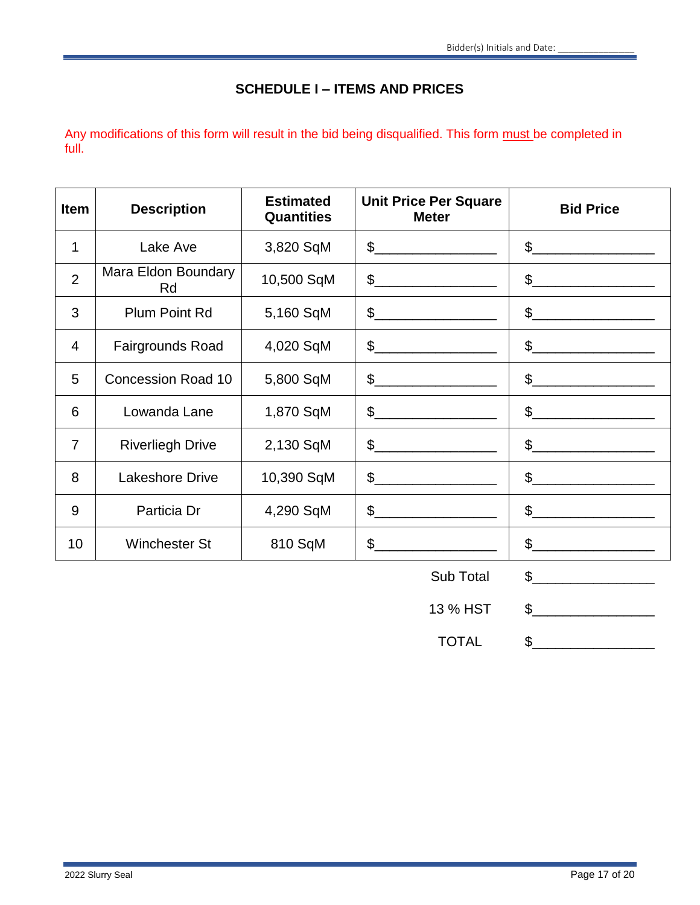# **SCHEDULE I – ITEMS AND PRICES**

Any modifications of this form will result in the bid being disqualified. This form must be completed in full.

| <b>Item</b>    | <b>Description</b>        | <b>Estimated</b><br><b>Quantities</b> | <b>Unit Price Per Square</b><br><b>Meter</b>                                                                                                                                                                                                                                                                                                                        | <b>Bid Price</b>                                                                                                                                                                                                                                                                                                                                                    |
|----------------|---------------------------|---------------------------------------|---------------------------------------------------------------------------------------------------------------------------------------------------------------------------------------------------------------------------------------------------------------------------------------------------------------------------------------------------------------------|---------------------------------------------------------------------------------------------------------------------------------------------------------------------------------------------------------------------------------------------------------------------------------------------------------------------------------------------------------------------|
| 1              | Lake Ave                  | 3,820 SqM                             | $\begin{picture}(20,10) \put(0,0){\vector(1,0){100}} \put(15,0){\vector(1,0){100}} \put(15,0){\vector(1,0){100}} \put(15,0){\vector(1,0){100}} \put(15,0){\vector(1,0){100}} \put(15,0){\vector(1,0){100}} \put(15,0){\vector(1,0){100}} \put(15,0){\vector(1,0){100}} \put(15,0){\vector(1,0){100}} \put(15,0){\vector(1,0){100}} \put(15,0){\vector(1,0){100}} \$ | $\frac{1}{2}$                                                                                                                                                                                                                                                                                                                                                       |
| $\overline{2}$ | Mara Eldon Boundary<br>Rd | 10,500 SqM                            | $\begin{picture}(20,10) \put(0,0){\line(1,0){100}} \put(15,0){\line(1,0){100}} \put(15,0){\line(1,0){100}} \put(15,0){\line(1,0){100}} \put(15,0){\line(1,0){100}} \put(15,0){\line(1,0){100}} \put(15,0){\line(1,0){100}} \put(15,0){\line(1,0){100}} \put(15,0){\line(1,0){100}} \put(15,0){\line(1,0){100}} \put(15,0){\line(1,0){100}} \$                       | $\frac{1}{2}$                                                                                                                                                                                                                                                                                                                                                       |
| 3              | <b>Plum Point Rd</b>      | 5,160 SqM                             | $\frac{1}{2}$                                                                                                                                                                                                                                                                                                                                                       | $\frac{1}{2}$                                                                                                                                                                                                                                                                                                                                                       |
| $\overline{4}$ | Fairgrounds Road          | 4,020 SqM                             |                                                                                                                                                                                                                                                                                                                                                                     | $\mathfrak{S}$                                                                                                                                                                                                                                                                                                                                                      |
| 5              | <b>Concession Road 10</b> | 5,800 SqM                             |                                                                                                                                                                                                                                                                                                                                                                     | $\frac{1}{2}$                                                                                                                                                                                                                                                                                                                                                       |
| 6              | Lowanda Lane              | 1,870 SqM                             | $\frac{1}{2}$                                                                                                                                                                                                                                                                                                                                                       | $\frac{1}{2}$                                                                                                                                                                                                                                                                                                                                                       |
| $\overline{7}$ | <b>Riverliegh Drive</b>   | 2,130 SqM                             | $\frac{1}{2}$                                                                                                                                                                                                                                                                                                                                                       | $\frac{1}{2}$                                                                                                                                                                                                                                                                                                                                                       |
| 8              | <b>Lakeshore Drive</b>    | 10,390 SqM                            | $\frac{1}{2}$                                                                                                                                                                                                                                                                                                                                                       | $\mathsf{S}$                                                                                                                                                                                                                                                                                                                                                        |
| 9              | Particia Dr               | 4,290 SqM                             | $\begin{picture}(20,10) \put(0,0){\vector(1,0){100}} \put(15,0){\vector(1,0){100}} \put(15,0){\vector(1,0){100}} \put(15,0){\vector(1,0){100}} \put(15,0){\vector(1,0){100}} \put(15,0){\vector(1,0){100}} \put(15,0){\vector(1,0){100}} \put(15,0){\vector(1,0){100}} \put(15,0){\vector(1,0){100}} \put(15,0){\vector(1,0){100}} \put(15,0){\vector(1,0){100}} \$ | $\begin{picture}(20,10) \put(0,0){\vector(1,0){100}} \put(15,0){\vector(1,0){100}} \put(15,0){\vector(1,0){100}} \put(15,0){\vector(1,0){100}} \put(15,0){\vector(1,0){100}} \put(15,0){\vector(1,0){100}} \put(15,0){\vector(1,0){100}} \put(15,0){\vector(1,0){100}} \put(15,0){\vector(1,0){100}} \put(15,0){\vector(1,0){100}} \put(15,0){\vector(1,0){100}} \$ |
| 10             | <b>Winchester St</b>      | 810 SqM                               |                                                                                                                                                                                                                                                                                                                                                                     | $\mathfrak{S}$                                                                                                                                                                                                                                                                                                                                                      |

| Sub Total |  |  |
|-----------|--|--|
|-----------|--|--|

13 % HST \$

TOTAL \$\_\_\_\_\_\_\_\_\_\_\_\_\_\_\_\_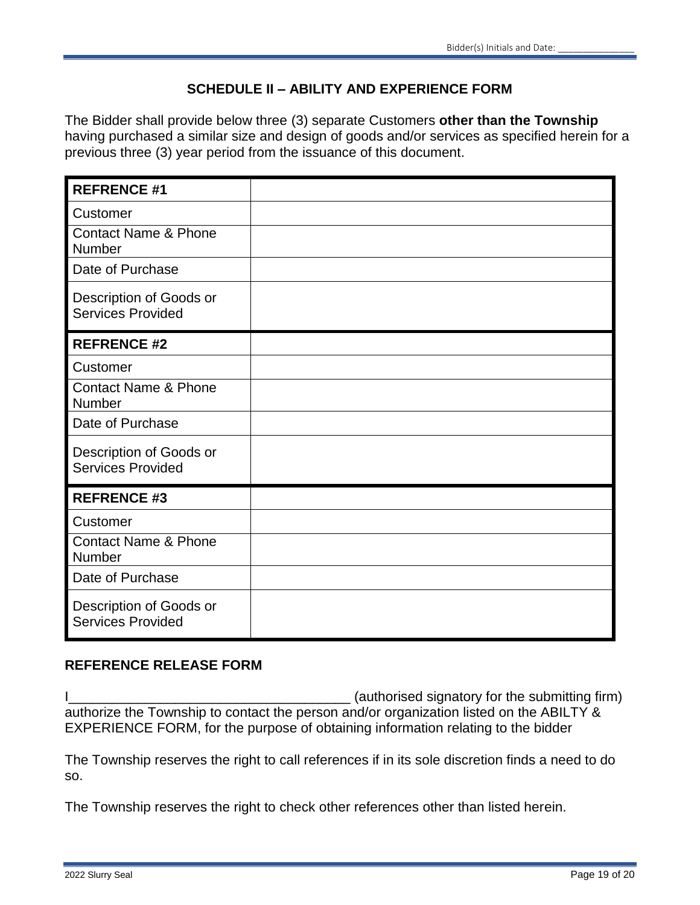# **SCHEDULE II – ABILITY AND EXPERIENCE FORM**

The Bidder shall provide below three (3) separate Customers **other than the Township**  having purchased a similar size and design of goods and/or services as specified herein for a previous three (3) year period from the issuance of this document.

| <b>REFRENCE #1</b>                                  |  |
|-----------------------------------------------------|--|
| Customer                                            |  |
| <b>Contact Name &amp; Phone</b><br>Number           |  |
| Date of Purchase                                    |  |
| Description of Goods or<br><b>Services Provided</b> |  |
| <b>REFRENCE #2</b>                                  |  |
| Customer                                            |  |
| <b>Contact Name &amp; Phone</b><br>Number           |  |
| Date of Purchase                                    |  |
| Description of Goods or<br><b>Services Provided</b> |  |
| <b>REFRENCE #3</b>                                  |  |
| Customer                                            |  |
| <b>Contact Name &amp; Phone</b><br>Number           |  |
| Date of Purchase                                    |  |
| Description of Goods or<br><b>Services Provided</b> |  |

#### **REFERENCE RELEASE FORM**

I\_\_\_\_\_\_\_\_\_\_\_\_\_\_\_\_\_\_\_\_\_\_\_\_\_\_\_\_\_\_\_\_\_\_\_\_\_ (authorised signatory for the submitting firm) authorize the Township to contact the person and/or organization listed on the ABILTY & EXPERIENCE FORM, for the purpose of obtaining information relating to the bidder

The Township reserves the right to call references if in its sole discretion finds a need to do so.

The Township reserves the right to check other references other than listed herein.